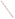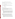## AGENCY: ENVIRONMENTAL PROTECTION AGENCY (EPA)

TITLE: "Study and Analysis of Strategies for the Technology Innovation in the Transportation Sector"

ACTION: Request for Application (RFA) or Request for Initial Proposals (RFIP)

RFA NO: EPA-OAR-DOD-05-19

CATALOG OF FEDERAL DOMESTIC ASSISTANCE (CFDA) NO: 66.034

SUMMARY: Formal Agency responses to questions/comments regarding the subject solicitation.

DATE: December 6, 2005

**Question 1:** The RFIP states that:

"The total estimated funding under this announcement is approximately \$1 million. Project will be funded in one year increments of approximately \$350,000 over a three year period. Maximum annual funding is \$500,000."

Would it be acceptable to submit an application for a two-year project, with a two-year budget totaling up to \$1 million, or, alternatively, \*must\* the application be for a threeyear project?

**Response:** While it is possible that an application for a two-year project might be acceptable, it is not certain at this time that the maximum funding of \$1 million would be available within just two year funding period. Therefore, it would be preferable that if the applicant wished to specify only a two year project period of performance, the application specify a recommended hierarchy of projects and deliverables that would be provide should funding of less than \$500,000 per year be available.

**Question 2:** Under III.A of the RFA, it states that "laboratories" are eligible. Please advise whether national laboratory such as those operated for the US Department of Energy are eligible. Also, if indeed eligible to respond to this RFA, would the award mechanism be an interagency agreement rather than a cooperative agreement?

**Response:** National laboratories associated with the federal government such as those operated under contract to the Department of Energy may be ineligible. These laboratories are typically operated by contractors, who would be ineligible to receive a grant. EPA does not anticipate using an interagency agreement under this program.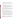**Question 3:** Is this RFA based upon prior contract or grant work? Is it part of a series of work projects about which there is publicly available information?

**Response:** This RFA is not connected to a previous contract or grant or otherwise part of a series or sequence of work projects. It is a new, stand alone project.

**Question 4:** Do we anticipate making only one award for this grant or are multiple awards anticipated or at least a possibility?

**Response:** At this time we anticipate having only enough funding to allow funding for only one application. Should additional funding become available, it is possible that more than one grant will be awarded to applicants under this RFA if the strength of the applications also warrant such additional grants.

**Question 5:** Under Scope of Work in the RFA it says:

"As such, EPA anticipates a multi-disciplinary approach would provide a most complete evaluation, drawing on the varied analytical disciplines including (but not limited to) economics, engineering, public policy, natural resources and modeling as well as legal considerations."

Under Content and Form of Application Submission it says:

"f**.** Key Personnel. The applicant should submit an appendix with the resumes of up to three (3) key personnel who will be significantly involved in the project."

I count six disciplines in the statement from the scope of work, and the scope is explicitly not limited to these six. Why the limit to three resumes? The strength of the team ("...(iv) staff expertise/qualifications, staff knowledge...") is a stated Evaluation Criteria. Can that be fairly assessed without resumes? Or could three be the anticipated limit to the size of the team?

**Response:** The strength of the proposal will be determined on the basis of all the information supplied. The resumes of key personal will be part of that assessment. The applicant can chose to include resumes of up to three persons who will constructively contribute to the projects. The applicant may chose to submit resumes from those persons which it believes best supports the strength of its application.

**Question 6:** We are confused about language contained in Section II, D. In the first paragraph, the implication is that for profit consultants are eligible subgrant recipients under this announcement. The second paragraph states that they are not. We would appreciate clarification.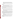**Response:** Section II, D refers to 40CFR Parts 30 and 31 for additional information on the procedures the grant recipient must follow for procurement and subaward or subgrant used by the grant recipient to fulfill its obligations under the grant. These Parts set the limitations on the use of for-profit consultants or other entities.

**Question 7:** How can we seek advice before the submission deadline from the EPA Project Officer?

**Response:** As directed in the Request for Application, Section VII – Agency Contact, questions submitted in writing will be answered in writing and posted on the web site containing the request for application.

**Question 8:** My institution has had several cooperative agreements with EPA over the past decade. When writing the proposals we have included multiple project ideas that are responsive to the RFP knowing that actual projects funded under the agreement may differ from those in the proposal.

Am I correct in assuming that your current RFP asks for a proposal describing a single project or set of projects and, if funded, those would be the projects that would go forward?

**Response:** In general, the projects funded would be the projects as described in the proposal or a subset from them. As part of the process in funding the grant, additional detail regarding the specific project or projects may be developed after selection of the successful proposal.

**Question 9:** I note that there will only be one award. Given this limitation, I am wondering if you feel that my institution would have a chance of receiving funding given that we have never, to my knowledge, applied for or received funding from your agency. We have extensive experience with the FAA, DOT, and NASA in areas of transportation (primarily aviation/aerospace/space-related), modeling, materials, etc. We also have a list of scholars interested in other modes of transportation as well as intermodal transportation solutions.

**Response:** Prior grant work with the Environmental Protection Agency is not a pre-requisite for successful award. Awarding of the grant will be based upon the strength and completeness of the proposal according to the criteria list in the request for applications.

**Question 10:** Are you solely interested in single mode changes in technology/fuel (and approaches/channels to encourage adoption) or would your interest extend to the encouragement of 'most efficient' intermodal options in combination with new technologies/fuel?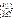**Response:** The transportation sector includes highway and non-highway options for the movement of people and goods. Intermodal (e.g., including both highway and non-highway) options for the transport of people and goods can be considered.

**Question 11:** I don't expect to get this done by Dec 14, 2005, but thought I could work on this for next year. Is this grant issued every year?

**Response:** This grant is not issued every year. Currently, we do not anticipate funding a similar follow on grant. Anyone interested in being considered for this grant needs to have their submission in by the specified deadline of December 14, 2005.

**Question 12:** A question was received from an inventor. A long description of a patented electric vehicle design was provided. The question asked if the grant funding could be used as start-up capital to develop this project, including development of a demonstration vehicle, testing and data analysis.

**Response:** While vehicle technology concepts and moving these technologies to market could appropriately be considered under this grant, the question seems to suggest funding for a potential profit making venture. This grant is only available to non-profit organizations. Organizations such as for profit companies or venture capital enterprises intended to develop profit making enterprises are not eligible.

**Question 13:** The RFP summary talks about only a single \$1 million dollar research grant. We would like to do a much smaller bit of research on an engine design for the small car transportation market. If this is a reasonable research topic, please let me know. If it is not appropriate – perhaps due to the quantized funding level, please let us know.

**Response:** As stated in the RFA, the anticipated funding level for the grant is up to \$1 million over up to three years. There is no minimum funding level for eligible grants. However, it is anticipated that since only one grant will be awarded, the most complete and comprehensive eligible grant will likely be awarded.

**Question 14:** The RFIP in Section III A states that: "In addition, where a page limit is expressed in Section IV with respect to parts of the application, pages in excess of the page limit will not be reviewed." We do not see any page limits expressed in Section IV. Are there any pages limits to be considered for this proposal at all?

**Response:** No page limits exist. There is no restriction on the length of the proposal.

**Question 15:** The RFA Section IV B.e. states: "Key personnel: The applicant should submit an appendix with the resumes of up to three (3) key personnel who will be significantly involved in the project." Is a description of roles of the applicant and